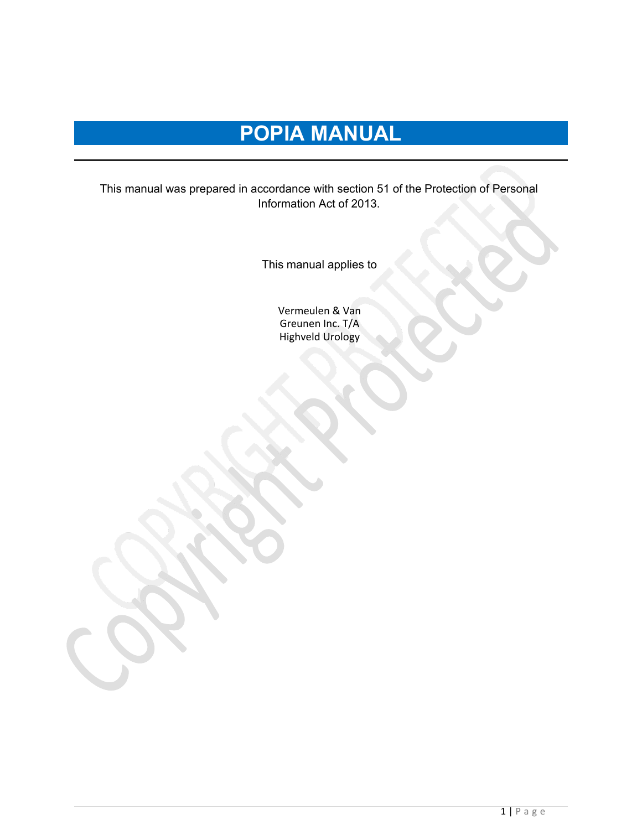# **POPIA MANUAL**

This manual was prepared in accordance with section 51 of the Protection of Personal Information Act of 2013.

This manual applies to

Vermeulen & Van Greunen Inc. T/A Highveld Urology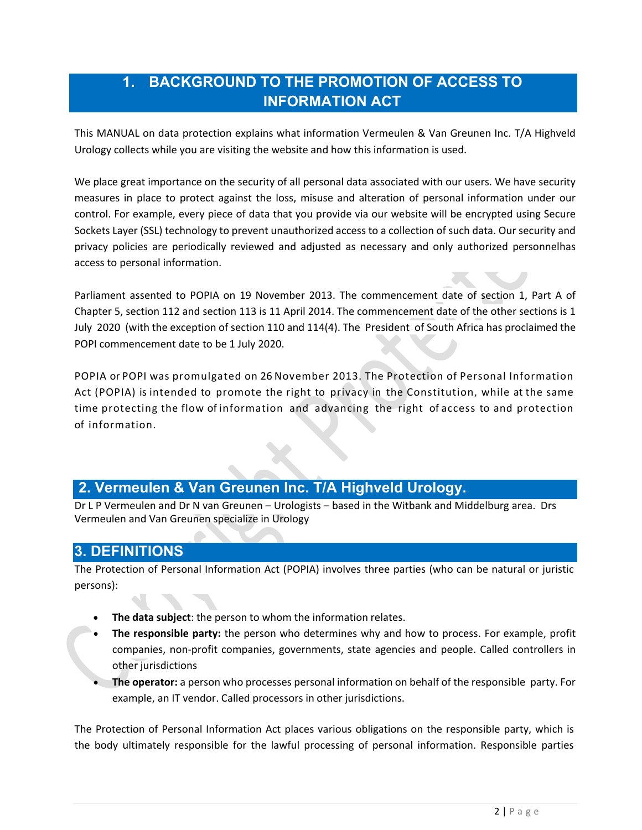# **1. BACKGROUND TO THE PROMOTION OF ACCESS TO INFORMATION ACT**

This MANUAL on data protection explains what information Vermeulen & Van Greunen Inc. T/A Highveld Urology collects while you are visiting the website and how this information is used.

We place great importance on the security of all personal data associated with our users. We have security measures in place to protect against the loss, misuse and alteration of personal information under our control. For example, every piece of data that you provide via our website will be encrypted using Secure Sockets Layer (SSL) technology to prevent unauthorized access to a collection of such data. Our security and privacy policies are periodically reviewed and adjusted as necessary and only authorized personnelhas access to personal information.

Parliament assented to POPIA on 19 November 2013. The commencement date of [section 1,](https://popia.co.za/section-1-definitions/) [Part A of](https://popia.co.za/protection-of-personal-information-act-popia/chapter-5/part-a/) [Chapter 5,](https://popia.co.za/protection-of-personal-information-act-popia/chapter-5/part-a/) [section 112 a](https://popia.co.za/section-112-regulations/)nd [section 113 is](https://popia.co.za/section-113-procedure-for-making-regulations/) 11 April 2014. The commencement date of the other sections is 1 July 2020 (with the exception of [section 110 a](https://popia.co.za/section-110-amendment-of-laws/)nd [114\(4\).](https://popia.co.za/section-114-transitional-arrangements/) The President of South Africa has proclaimed the POPI [commencement](https://www.michalsons.com/blog/popi-commencement-date-popi-effective-date/13109) date to be 1 July 2020.

POPIA or POPI was promulgated on 26 November 2013. The Protection of Personal Information Act (POPIA) is intended to promote the right to privacy in the Constitution, while at the same time protecting the flow of information and advancing the right of access to and protection of information.

### **2. Vermeulen & Van Greunen Inc. T/A Highveld Urology.**

Dr L P Vermeulen and Dr N van Greunen – Urologists – based in the Witbank and Middelburg area. Drs Vermeulen and Van Greunen specialize in Urology

### **3. DEFINITIONS**

The Protection of Personal Information Act (POPIA) involves three parties (who can be natural or juristic persons):

- **The data subject**: the person to whom the information relates.
- **The responsible party:** the person who determines why and how to process. For example, profit companies, non-profit companies, governments, state agencies and people. Called controllers in other jurisdictions
- **The operator:** a person who processes personal information on behalf of the responsible party. For example, an IT vendor. Called processors in other jurisdictions.

The Protection of Personal Information Act places various obligations on the responsible party, which is the body ultimately responsible for the lawful processing of personal information. Responsible parties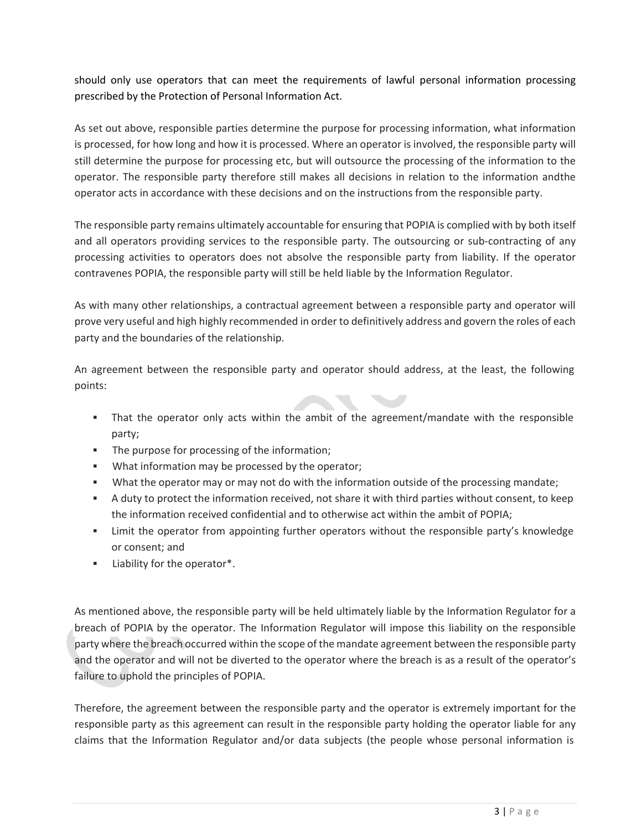should only use operators that can meet the requirements of lawful personal information processing prescribed by the Protection of Personal Information Act.

As set out above, responsible parties determine the purpose for processing information, what information is processed, for how long and how it is processed. Where an operator is involved, the responsible party will still determine the purpose for processing etc, but will outsource the processing of the information to the operator. The responsible party therefore still makes all decisions in relation to the information andthe operator acts in accordance with these decisions and on the instructions from the responsible party.

The responsible party remains ultimately accountable for ensuring that POPIA is complied with by both itself and all operators providing services to the responsible party. The outsourcing or sub-contracting of any processing activities to operators does not absolve the responsible party from liability. If the operator contravenes POPIA, the responsible party will still be held liable by the Information Regulator.

As with many other relationships, a contractual agreement between a responsible party and operator will prove very useful and high highly recommended in order to definitively address and govern the roles of each party and the boundaries of the relationship.

An agreement between the responsible party and operator should address, at the least, the following points:

- That the operator only acts within the ambit of the agreement/mandate with the responsible party;
- **The purpose for processing of the information;**
- What information may be processed by the operator;
- What the operator may or may not do with the information outside of the processing mandate;
- A duty to protect the information received, not share it with third parties without consent, to keep the information received confidential and to otherwise act within the ambit of POPIA;
- Limit the operator from appointing further operators without the responsible party's knowledge or consent; and
- Liability for the operator\*.

As mentioned above, the responsible party will be held ultimately liable by the Information Regulator for a breach of POPIA by the operator. The Information Regulator will impose this liability on the responsible party where the breach occurred within the scope of the mandate agreement between the responsible party and the operator and will not be diverted to the operator where the breach is as a result of the operator's failure to uphold the principles of POPIA.

Therefore, the agreement between the responsible party and the operator is extremely important for the responsible party as this agreement can result in the responsible party holding the operator liable for any claims that the Information Regulator and/or data subjects (the people whose personal information is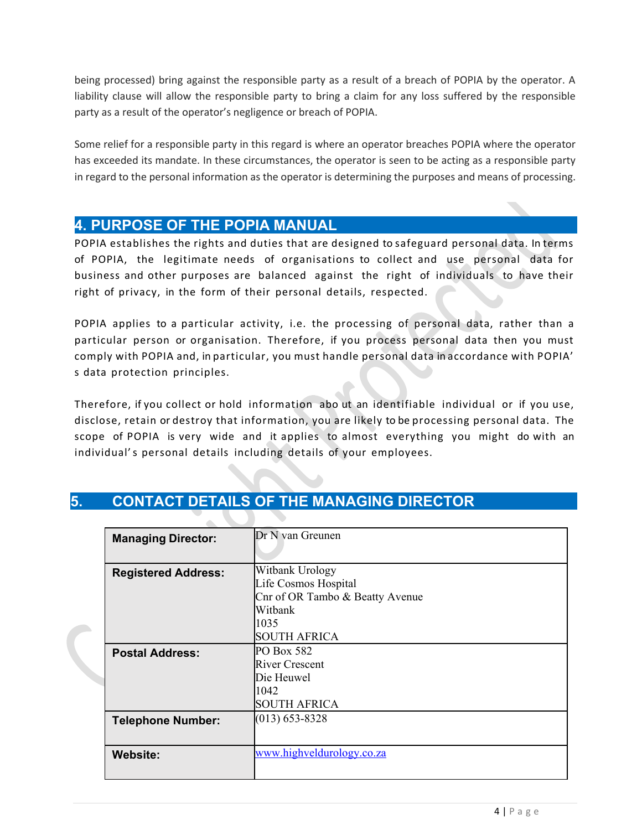being processed) bring against the responsible party as a result of a breach of POPIA by the operator. A liability clause will allow the responsible party to bring a claim for any loss suffered by the responsible party as a result of the operator's negligence or breach of POPIA.

Some relief for a responsible party in this regard is where an operator breaches POPIA where the operator has exceeded its mandate. In these circumstances, the operator is seen to be acting as a responsible party in regard to the personal information as the operator is determining the purposes and means of processing.

### **4. PURPOSE OF THE POPIA MANUAL**

POPIA establishes the rights and duties that are designed to safeguard personal data. In terms of POPIA, the legitimate needs of organisations to collect and use personal data for business and other purposes are balanced against the right of individuals to have their right of privacy, in the form of their personal details, respected.

POPIA applies to a particular activity, i.e. the processing of personal data, rather than a particular person or organisation. Therefore, if you process personal data then you must comply with POPIA and, in particular, you must handle personal data in accordance with POPIA' s data protection principles.

Therefore, if you collect or hold information abo ut an identifiable individual or if you use, disclose, retain or destroy that information, you are likely to be processing personal data. The scope of POPIA is very wide and it applies to almost everything you might do with an individual's personal details including details of your employees.

|    | <b>Managing Director:</b>  | Dr N van Greunen                |  |  |  |
|----|----------------------------|---------------------------------|--|--|--|
|    |                            |                                 |  |  |  |
|    | <b>Registered Address:</b> | Witbank Urology                 |  |  |  |
|    |                            | Life Cosmos Hospital            |  |  |  |
|    |                            | Cnr of OR Tambo & Beatty Avenue |  |  |  |
|    |                            | Witbank                         |  |  |  |
| D. |                            | 1035                            |  |  |  |
|    |                            | <b>SOUTH AFRICA</b>             |  |  |  |
|    | <b>Postal Address:</b>     | PO Box 582                      |  |  |  |
|    |                            | <b>River Crescent</b>           |  |  |  |
|    |                            | Die Heuwel                      |  |  |  |
|    |                            | 1042                            |  |  |  |
|    |                            | <b>SOUTH AFRICA</b>             |  |  |  |
|    | <b>Telephone Number:</b>   | $(013) 653 - 8328$              |  |  |  |
|    |                            |                                 |  |  |  |
|    | <b>Website:</b>            | www.highveldurology.co.za       |  |  |  |
|    |                            |                                 |  |  |  |
|    |                            |                                 |  |  |  |

# **5. CONTACT DETAILS OF THE MANAGING DIRECTOR**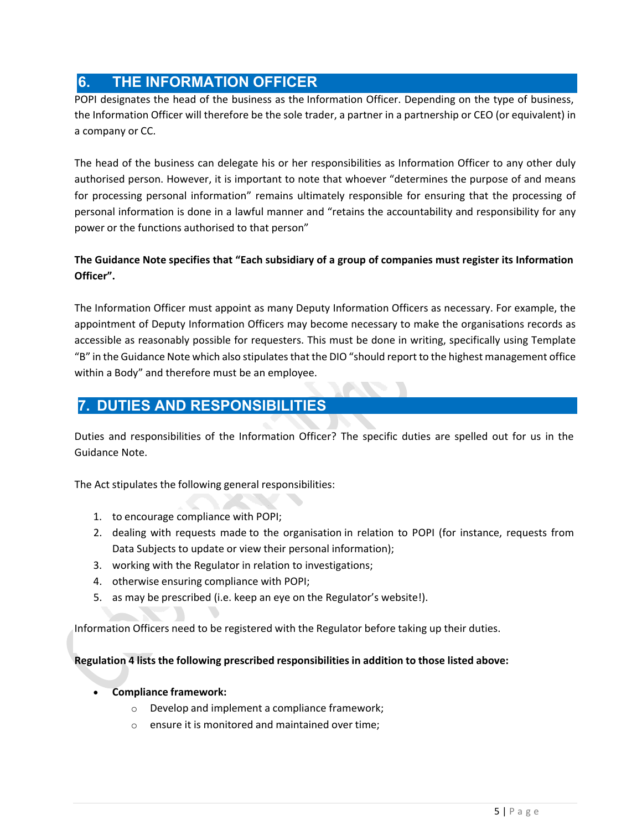### **6. THE INFORMATION OFFICER**

POPI designates the head of the business as the Information Officer. Depending on the type of business, the Information Officer will therefore be the sole trader, a partner in a partnership or CEO (or equivalent) in a company or CC.

The head of the business can delegate his or her responsibilities as Information Officer to any other duly authorised person. However, it is important to note that whoever "determines the purpose of and means for processing personal information" remains ultimately responsible for ensuring that the processing of personal information is done in a lawful manner and "retains the accountability and responsibility for any power or the functions authorised to that person"

#### **The Guidance Note specifies that "Each subsidiary of a group of companies must register its Information Officer".**

The Information Officer must appoint as many Deputy Information Officers as necessary. For example, the appointment of Deputy Information Officers may become necessary to make the organisations records as accessible as reasonably possible for requesters. This must be done in writing, specifically using Template "B" in the Guidance Note which also stipulates that the DIO "should report to the highest management office within a Body" and therefore must be an employee.

# **7. DUTIES AND RESPONSIBILITIES**

Duties and responsibilities of the Information Officer? The specific duties are spelled out for us in the Guidance Note.

The Act stipulates the following general responsibilities:

- 1. to encourage compliance with POPI;
- 2. dealing with requests made to the organisation in relation to POPI (for instance, requests from Data Subjects to update or view their personal information);
- 3. working with the Regulator in relation to investigations;
- 4. otherwise ensuring compliance with POPI;
- 5. as may be prescribed (i.e. keep an eye on the Regulator's website!).

Information Officers need to be registered with the Regulator before taking up their duties.

**Regulation 4 lists the following prescribed responsibilities in addition to those listed above:**

- **Compliance framework:**
	- o Develop and implement a compliance framework;
	- o ensure it is monitored and maintained over time;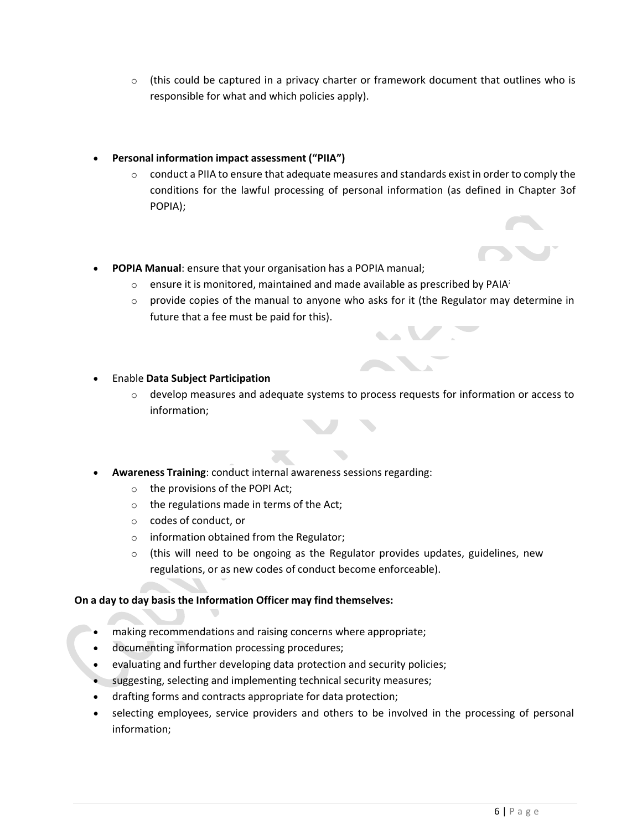- $\circ$  (this could be captured in a privacy charter or framework document that outlines who is responsible for what and which policies apply).
- **Personal information impact assessment ("PIIA")**
	- $\circ$  conduct a PIIA to ensure that adequate measures and standards exist in order to comply the conditions for the lawful processing of personal information (as defined in Chapter 3of POPIA);
- **POPIA Manual**: ensure that your organisation has a POPIA manual;
	- $\circ$  ensure it is monitored, maintained and made available as prescribed by PAIA;
	- $\circ$  provide copies of the manual to anyone who asks for it (the Regulator may determine in future that a fee must be paid for this).

- Enable **Data Subject Participation**
	- $\circ$  develop measures and adequate systems to process requests for information or access to information;
- **Awareness Training**: conduct internal awareness sessions regarding:
	- o the provisions of the POPI Act;
	- o the regulations made in terms of the Act;
	- o codes of conduct, or
	- o information obtained from the Regulator;
	- $\circ$  (this will need to be ongoing as the Regulator provides updates, guidelines, new regulations, or as new codes of conduct become enforceable).

#### **On a day to day basis the Information Officer may find themselves:**

- making recommendations and raising concerns where appropriate;
- documenting information processing procedures;
- evaluating and further developing data protection and security policies;
- suggesting, selecting and implementing technical security measures;
- drafting forms and contracts appropriate for data protection;
- selecting employees, service providers and others to be involved in the processing of personal information;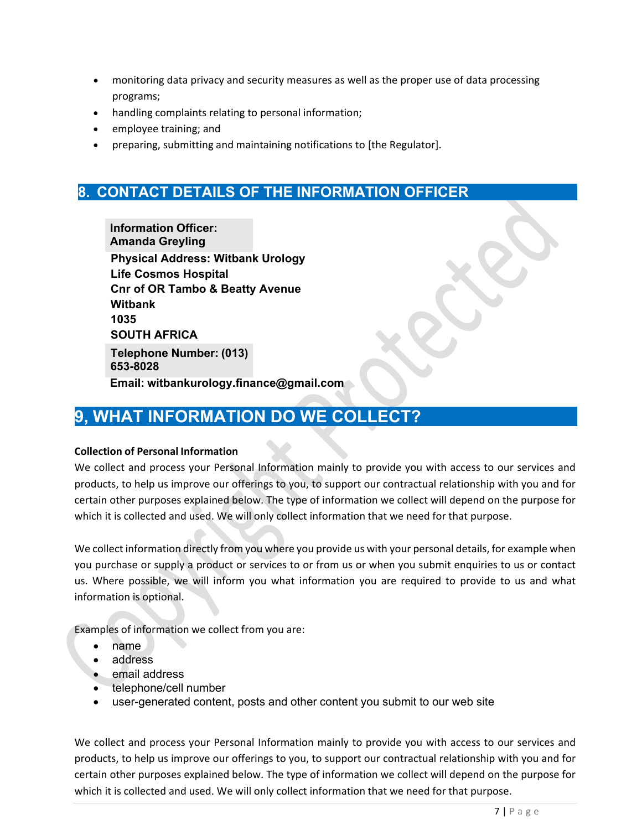- monitoring data privacy and security measures as well as the proper use of data processing programs;
- handling complaints relating to personal information;
- employee training; and
- preparing, submitting and maintaining notifications to [the Regulator].

### **8. CONTACT DETAILS OF THE INFORMATION OFFICER**

**Physical Address: Witbank Urology Life Cosmos Hospital Cnr of OR Tambo & Beatty Avenue Witbank 1035 SOUTH AFRICA Email: witbankurology.finance@gmail.com Telephone Number: (013) 653-8028 Information Officer: Amanda Greyling**

# **9, WHAT INFORMATION DO WE COLLECT?**

#### **Collection of Personal Information**

We collect and process your Personal Information mainly to provide you with access to our services and products, to help us improve our offerings to you, to support our contractual relationship with you and for certain other purposes explained below. The type of information we collect will depend on the purpose for which it is collected and used. We will only collect information that we need for that purpose.

We collect information directly from you where you provide us with your personal details, for example when you purchase or supply a product or services to or from us or when you submit enquiries to us or contact us. Where possible, we will inform you what information you are required to provide to us and what information is optional.

Examples of information we collect from you are:

- name
- address
- email address
- telephone/cell number
- user-generated content, posts and other content you submit to our web site

We collect and process your Personal Information mainly to provide you with access to our services and products, to help us improve our offerings to you, to support our contractual relationship with you and for certain other purposes explained below. The type of information we collect will depend on the purpose for which it is collected and used. We will only collect information that we need for that purpose.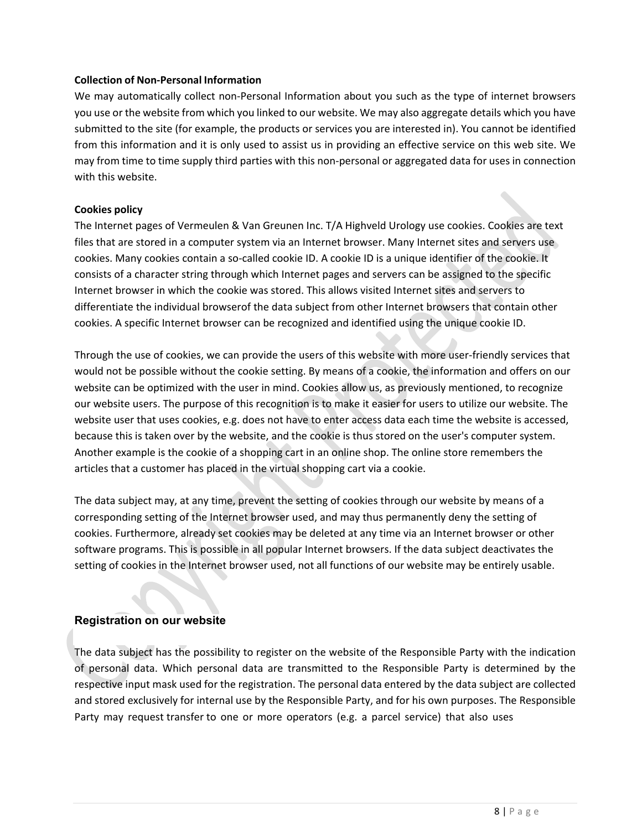#### **Collection of Non-Personal Information**

We may automatically collect non-Personal Information about you such as the type of internet browsers you use or the website from which you linked to our website. We may also aggregate details which you have submitted to the site (for example, the products or services you are interested in). You cannot be identified from this information and it is only used to assist us in providing an effective service on this web site. We may from time to time supply third parties with this non-personal or aggregated data for uses in connection with this website.

#### **Cookies policy**

The Internet pages of Vermeulen & Van Greunen Inc. T/A Highveld Urology use cookies. Cookies are text files that are stored in a computer system via an Internet browser. Many Internet sites and servers use cookies. Many cookies contain a so-called cookie ID. A cookie ID is a unique identifier of the cookie. It consists of a character string through which Internet pages and servers can be assigned to the specific Internet browser in which the cookie was stored. This allows visited Internet sites and servers to differentiate the individual browserof the data subject from other Internet browsers that contain other cookies. A specific Internet browser can be recognized and identified using the unique cookie ID.

Through the use of cookies, we can provide the users of this website with more user-friendly services that would not be possible without the cookie setting. By means of a cookie, the information and offers on our website can be optimized with the user in mind. Cookies allow us, as previously mentioned, to recognize our website users. The purpose of this recognition is to make it easier for users to utilize our website. The website user that uses cookies, e.g. does not have to enter access data each time the website is accessed, because this is taken over by the website, and the cookie is thus stored on the user's computer system. Another example is the cookie of a shopping cart in an online shop. The online store remembers the articles that a customer has placed in the virtual shopping cart via a cookie.

The data subject may, at any time, prevent the setting of cookies through our website by means of a corresponding setting of the Internet browser used, and may thus permanently deny the setting of cookies. Furthermore, already set cookies may be deleted at any time via an Internet browser or other software programs. This is possible in all popular Internet browsers. If the data subject deactivates the setting of cookies in the Internet browser used, not all functions of our website may be entirely usable.

#### **Registration on our website**

The data subject has the possibility to register on the website of the Responsible Party with the indication of personal data. Which personal data are transmitted to the Responsible Party is determined by the respective input mask used for the registration. The personal data entered by the data subject are collected and stored exclusively for internal use by the Responsible Party, and for his own purposes. The Responsible Party may request transfer to one or more operators (e.g. a parcel service) that also uses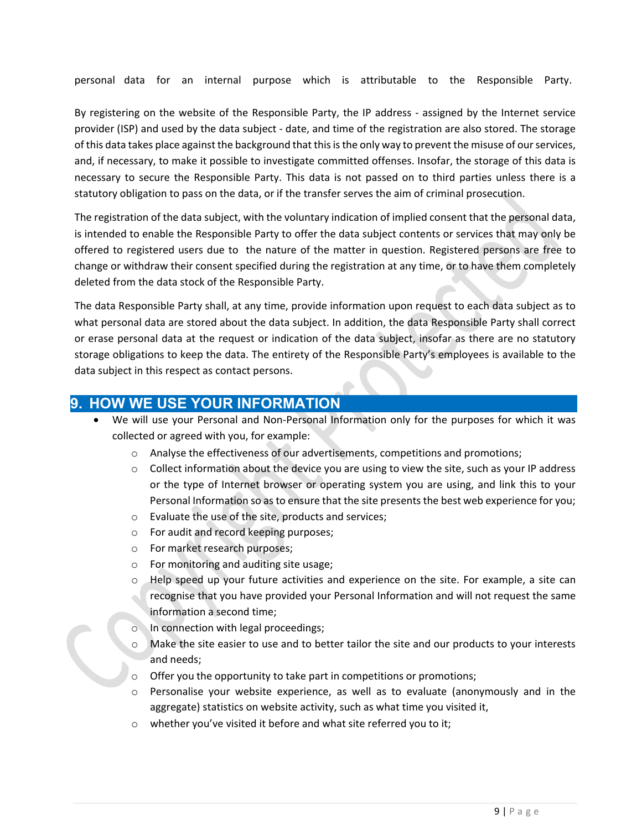personal data for an internal purpose which is attributable to the Responsible Party.

By registering on the website of the Responsible Party, the IP address - assigned by the Internet service provider (ISP) and used by the data subject - date, and time of the registration are also stored. The storage of this data takes place against the background that this is the only way to prevent the misuse of ourservices, and, if necessary, to make it possible to investigate committed offenses. Insofar, the storage of this data is necessary to secure the Responsible Party. This data is not passed on to third parties unless there is a statutory obligation to pass on the data, or if the transfer serves the aim of criminal prosecution.

The registration of the data subject, with the voluntary indication of implied consent that the personal data, is intended to enable the Responsible Party to offer the data subject contents or services that may only be offered to registered users due to the nature of the matter in question. Registered persons are free to change or withdraw their consent specified during the registration at any time, or to have them completely deleted from the data stock of the Responsible Party.

The data Responsible Party shall, at any time, provide information upon request to each data subject as to what personal data are stored about the data subject. In addition, the data Responsible Party shall correct or erase personal data at the request or indication of the data subject, insofar as there are no statutory storage obligations to keep the data. The entirety of the Responsible Party's employees is available to the data subject in this respect as contact persons.

### **9. HOW WE USE YOUR INFORMATION**

- We will use your Personal and Non-Personal Information only for the purposes for which it was collected or agreed with you, for example:
	- o Analyse the effectiveness of our advertisements, competitions and promotions;
	- o Collect information about the device you are using to view the site, such as your IP address or the type of Internet browser or operating system you are using, and link this to your Personal Information so as to ensure that the site presents the best web experience for you;
	- o Evaluate the use of the site, products and services;
	- o For audit and record keeping purposes;
	- o For market research purposes;
	- o For monitoring and auditing site usage;
	- o Help speed up your future activities and experience on the site. For example, a site can recognise that you have provided your Personal Information and will not request the same information a second time;
	- o In connection with legal proceedings;
	- o Make the site easier to use and to better tailor the site and our products to your interests and needs;
	- o Offer you the opportunity to take part in competitions or promotions;
	- o Personalise your website experience, as well as to evaluate (anonymously and in the aggregate) statistics on website activity, such as what time you visited it,
	- o whether you've visited it before and what site referred you to it;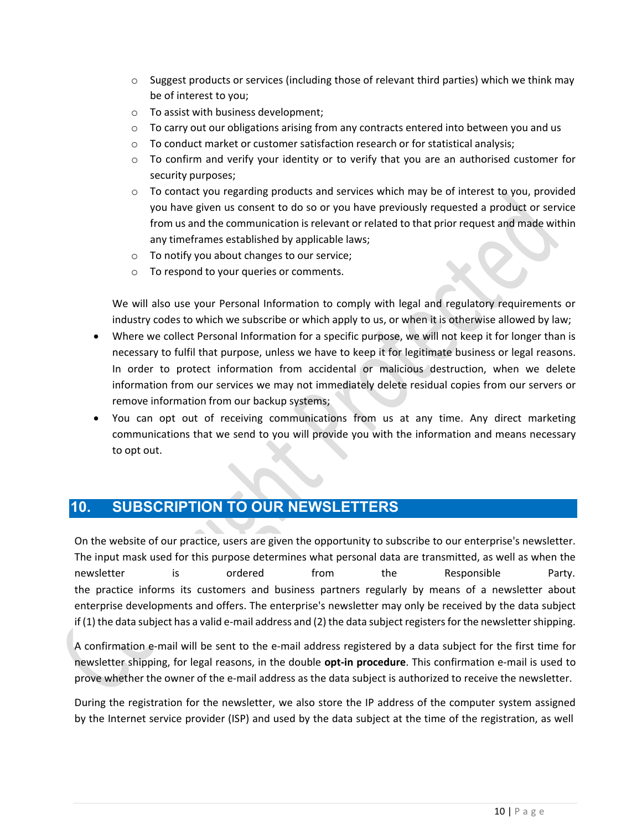- $\circ$  Suggest products or services (including those of relevant third parties) which we think may be of interest to you;
- o To assist with business development;
- $\circ$  To carry out our obligations arising from any contracts entered into between you and us
- o To conduct market or customer satisfaction research or for statistical analysis;
- o To confirm and verify your identity or to verify that you are an authorised customer for security purposes;
- $\circ$  To contact you regarding products and services which may be of interest to you, provided you have given us consent to do so or you have previously requested a product or service from us and the communication is relevant or related to that prior request and made within any timeframes established by applicable laws;
- o To notify you about changes to our service;
- o To respond to your queries or comments.

We will also use your Personal Information to comply with legal and regulatory requirements or industry codes to which we subscribe or which apply to us, or when it is otherwise allowed by law;

- Where we collect Personal Information for a specific purpose, we will not keep it for longer than is necessary to fulfil that purpose, unless we have to keep it for legitimate business or legal reasons. In order to protect information from accidental or malicious destruction, when we delete information from our services we may not immediately delete residual copies from our servers or remove information from our backup systems;
- You can opt out of receiving communications from us at any time. Any direct marketing communications that we send to you will provide you with the information and means necessary to opt out.

### **10. SUBSCRIPTION TO OUR NEWSLETTERS**

On the website of our practice, users are given the opportunity to subscribe to our enterprise's newsletter. The input mask used for this purpose determines what personal data are transmitted, as well as when the newsletter is ordered from the Responsible Party. the practice informs its customers and business partners regularly by means of a newsletter about enterprise developments and offers. The enterprise's newsletter may only be received by the data subject if (1) the data subject has a valid e-mail address and (2) the data subject registers for the newslettershipping.

A confirmation e-mail will be sent to the e-mail address registered by a data subject for the first time for newsletter shipping, for legal reasons, in the double **opt-in procedure**. This confirmation e-mail is used to prove whether the owner of the e-mail address as the data subject is authorized to receive the newsletter.

During the registration for the newsletter, we also store the IP address of the computer system assigned by the Internet service provider (ISP) and used by the data subject at the time of the registration, as well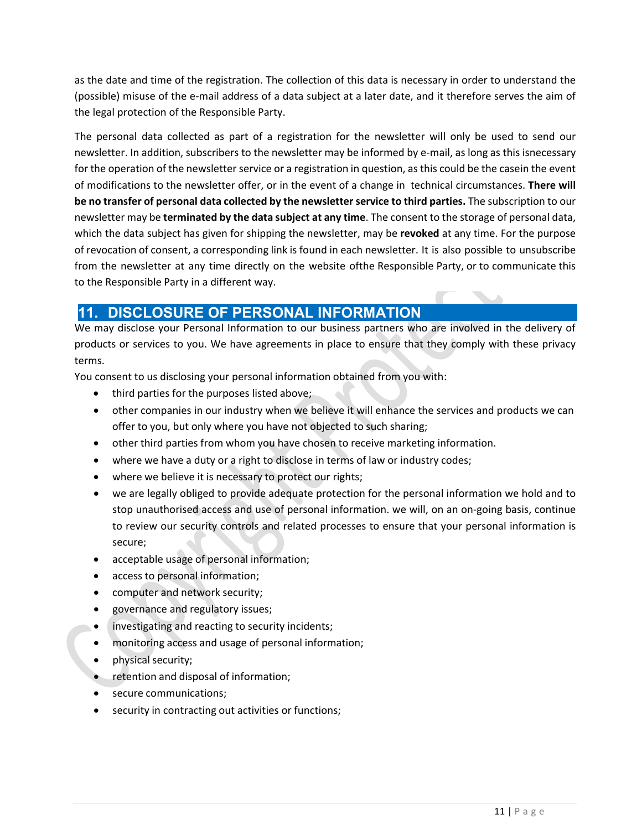as the date and time of the registration. The collection of this data is necessary in order to understand the (possible) misuse of the e-mail address of a data subject at a later date, and it therefore serves the aim of the legal protection of the Responsible Party.

The personal data collected as part of a registration for the newsletter will only be used to send our newsletter. In addition, subscribers to the newsletter may be informed by e-mail, as long as this isnecessary for the operation of the newsletter service or a registration in question, as this could be the casein the event of modifications to the newsletter offer, or in the event of a change in technical circumstances. **There will be no transfer of personal data collected by the newsletter service to third parties.** The subscription to our newsletter may be **terminated by the data subject at any time**. The consent to the storage of personal data, which the data subject has given for shipping the newsletter, may be **revoked** at any time. For the purpose of revocation of consent, a corresponding link is found in each newsletter. It is also possible to unsubscribe from the newsletter at any time directly on the website ofthe Responsible Party, or to communicate this to the Responsible Party in a different way.

### **11. DISCLOSURE OF PERSONAL INFORMATION**

We may disclose your Personal Information to our business partners who are involved in the delivery of products or services to you. We have agreements in place to ensure that they comply with these privacy terms.

You consent to us disclosing your personal information obtained from you with:

- third parties for the purposes listed above;
- other companies in our industry when we believe it will enhance the services and products we can offer to you, but only where you have not objected to such sharing;
- other third parties from whom you have chosen to receive marketing information.
- where we have a duty or a right to disclose in terms of law or industry codes;
- where we believe it is necessary to protect our rights;
- we are legally obliged to provide adequate protection for the personal information we hold and to stop unauthorised access and use of personal information. we will, on an on-going basis, continue to review our security controls and related processes to ensure that your personal information is secure;
- acceptable usage of personal information;
- access to personal information;
- computer and network security;
- governance and regulatory issues;
- investigating and reacting to security incidents;
- monitoring access and usage of personal information;
- physical security;
- retention and disposal of information;
- secure communications:
- security in contracting out activities or functions;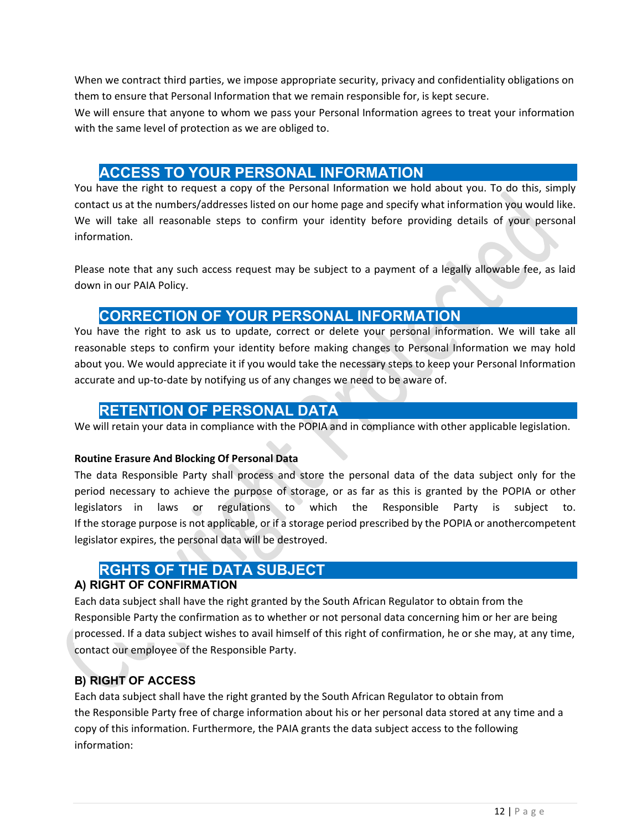When we contract third parties, we impose appropriate security, privacy and confidentiality obligations on them to ensure that Personal Information that we remain responsible for, is kept secure.

We will ensure that anyone to whom we pass your Personal Information agrees to treat your information with the same level of protection as we are obliged to.

### **13. ACCESS TO YOUR PERSONAL INFORMATION**

You have the right to request a copy of the Personal Information we hold about you. To do this, simply contact us at the numbers/addresses listed on our home page and specify what information you would like. We will take all reasonable steps to confirm your identity before providing details of your personal information.

Please note that any such access request may be subject to a payment of a legally allowable fee, as laid down in our PAIA Policy.

### **14. CORRECTION OF YOUR PERSONAL INFORMATION**

You have the right to ask us to update, correct or delete your personal information. We will take all reasonable steps to confirm your identity before making changes to Personal Information we may hold about you. We would appreciate it if you would take the necessary steps to keep your Personal Information accurate and up-to-date by notifying us of any changes we need to be aware of.

### **15. RETENTION OF PERSONAL DATA**

We will retain your data in compliance with the POPIA and in compliance with other applicable legislation.

#### **Routine Erasure And Blocking Of Personal Data**

The data Responsible Party shall process and store the personal data of the data subject only for the period necessary to achieve the purpose of storage, or as far as this is granted by the POPIA or other legislators in laws or regulations to which the Responsible Party is subject to. If the storage purpose is not applicable, or if a storage period prescribed by the POPIA or anothercompetent legislator expires, the personal data will be destroyed.

### **16. RGHTS OF THE DATA SUBJECT**

#### **A) RIGHT OF CONFIRMATION**

Each data subject shall have the right granted by the South African Regulator to obtain from the Responsible Party the confirmation as to whether or not personal data concerning him or her are being processed. If a data subject wishes to avail himself of this right of confirmation, he or she may, at any time, contact our employee of the Responsible Party.

#### **B) RIGHT OF ACCESS**

Each data subject shall have the right granted by the South African Regulator to obtain from the Responsible Party free of charge information about his or her personal data stored at any time and a copy of this information. Furthermore, the PAIA grants the data subject access to the following information: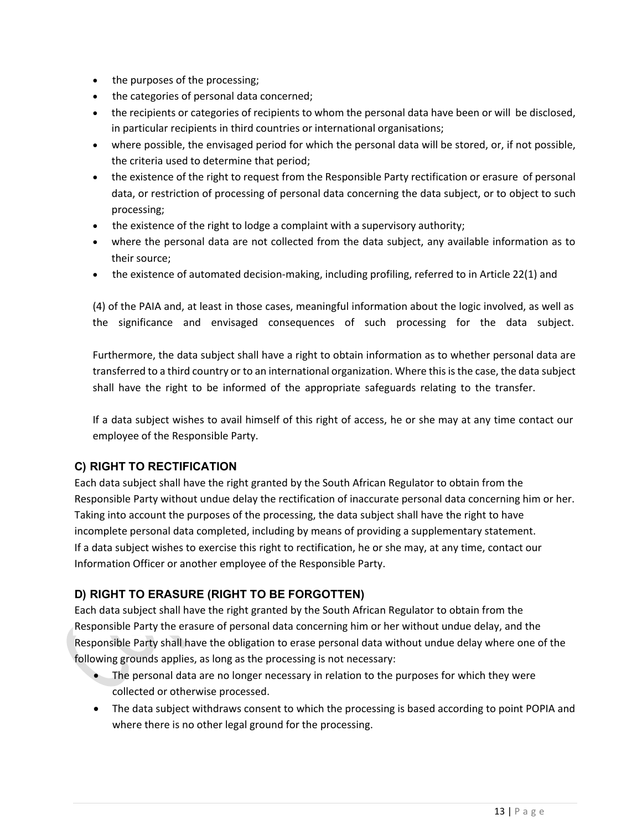- the purposes of the processing;
- the categories of personal data concerned;
- the recipients or categories of recipients to whom the personal data have been or will be disclosed, in particular recipients in third countries or international organisations;
- where possible, the envisaged period for which the personal data will be stored, or, if not possible, the criteria used to determine that period;
- the existence of the right to request from the Responsible Party rectification or erasure of personal data, or restriction of processing of personal data concerning the data subject, or to object to such processing;
- the existence of the right to lodge a complaint with a supervisory authority;
- where the personal data are not collected from the data subject, any available information as to their source;
- the existence of automated decision-making, including profiling, referred to in Article 22(1) and

(4) of the PAIA and, at least in those cases, meaningful information about the logic involved, as well as the significance and envisaged consequences of such processing for the data subject.

Furthermore, the data subject shall have a right to obtain information as to whether personal data are transferred to a third country or to an international organization. Where this is the case, the data subject shall have the right to be informed of the appropriate safeguards relating to the transfer.

If a data subject wishes to avail himself of this right of access, he or she may at any time contact our employee of the Responsible Party.

#### **C) RIGHT TO RECTIFICATION**

Each data subject shall have the right granted by the South African Regulator to obtain from the Responsible Party without undue delay the rectification of inaccurate personal data concerning him or her. Taking into account the purposes of the processing, the data subject shall have the right to have incomplete personal data completed, including by means of providing a supplementary statement. If a data subject wishes to exercise this right to rectification, he or she may, at any time, contact our Information Officer or another employee of the Responsible Party.

### **D) RIGHT TO ERASURE (RIGHT TO BE FORGOTTEN)**

Each data subject shall have the right granted by the South African Regulator to obtain from the Responsible Party the erasure of personal data concerning him or her without undue delay, and the Responsible Party shall have the obligation to erase personal data without undue delay where one of the following grounds applies, as long as the processing is not necessary:

- The personal data are no longer necessary in relation to the purposes for which they were collected or otherwise processed.
- The data subject withdraws consent to which the processing is based according to point POPIA and where there is no other legal ground for the processing.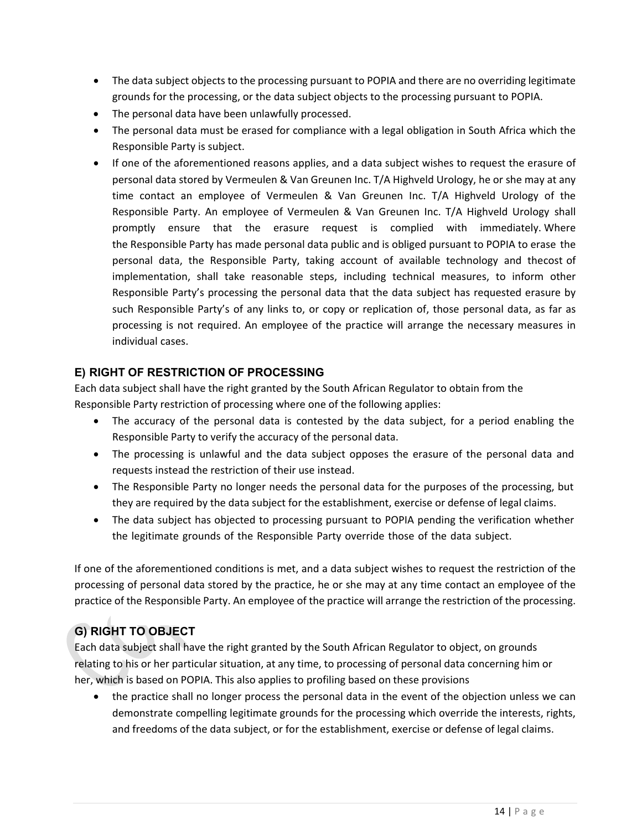- The data subject objects to the processing pursuant to POPIA and there are no overriding legitimate grounds for the processing, or the data subject objects to the processing pursuant to POPIA.
- The personal data have been unlawfully processed.
- The personal data must be erased for compliance with a legal obligation in South Africa which the Responsible Party is subject.
- If one of the aforementioned reasons applies, and a data subject wishes to request the erasure of personal data stored by Vermeulen & Van Greunen Inc. T/A Highveld Urology, he or she may at any time contact an employee of Vermeulen & Van Greunen Inc. T/A Highveld Urology of the Responsible Party. An employee of Vermeulen & Van Greunen Inc. T/A Highveld Urology shall promptly ensure that the erasure request is complied with immediately. Where the Responsible Party has made personal data public and is obliged pursuant to POPIA to erase the personal data, the Responsible Party, taking account of available technology and thecost of implementation, shall take reasonable steps, including technical measures, to inform other Responsible Party's processing the personal data that the data subject has requested erasure by such Responsible Party's of any links to, or copy or replication of, those personal data, as far as processing is not required. An employee of the practice will arrange the necessary measures in individual cases.

#### **E) RIGHT OF RESTRICTION OF PROCESSING**

Each data subject shall have the right granted by the South African Regulator to obtain from the Responsible Party restriction of processing where one of the following applies:

- The accuracy of the personal data is contested by the data subject, for a period enabling the Responsible Party to verify the accuracy of the personal data.
- The processing is unlawful and the data subject opposes the erasure of the personal data and requests instead the restriction of their use instead.
- The Responsible Party no longer needs the personal data for the purposes of the processing, but they are required by the data subject for the establishment, exercise or defense of legal claims.
- The data subject has objected to processing pursuant to POPIA pending the verification whether the legitimate grounds of the Responsible Party override those of the data subject.

If one of the aforementioned conditions is met, and a data subject wishes to request the restriction of the processing of personal data stored by the practice, he or she may at any time contact an employee of the practice of the Responsible Party. An employee of the practice will arrange the restriction of the processing.

### **G) RIGHT TO OBJECT**

Each data subject shall have the right granted by the South African Regulator to object, on grounds relating to his or her particular situation, at any time, to processing of personal data concerning him or her, which is based on POPIA. This also applies to profiling based on these provisions

• the practice shall no longer process the personal data in the event of the objection unless we can demonstrate compelling legitimate grounds for the processing which override the interests, rights, and freedoms of the data subject, or for the establishment, exercise or defense of legal claims.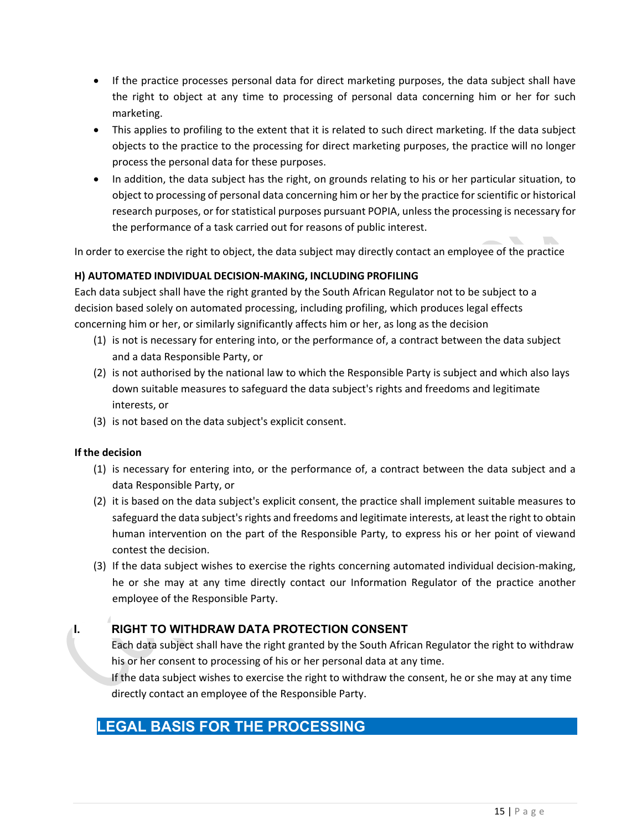- If the practice processes personal data for direct marketing purposes, the data subject shall have the right to object at any time to processing of personal data concerning him or her for such marketing.
- This applies to profiling to the extent that it is related to such direct marketing. If the data subject objects to the practice to the processing for direct marketing purposes, the practice will no longer process the personal data for these purposes.
- In addition, the data subject has the right, on grounds relating to his or her particular situation, to object to processing of personal data concerning him or her by the practice forscientific or historical research purposes, or for statistical purposes pursuant POPIA, unless the processing is necessary for the performance of a task carried out for reasons of public interest.

In order to exercise the right to object, the data subject may directly contact an employee of the practice

#### **H) AUTOMATED INDIVIDUAL DECISION-MAKING, INCLUDING PROFILING**

Each data subject shall have the right granted by the South African Regulator not to be subject to a decision based solely on automated processing, including profiling, which produces legal effects concerning him or her, or similarly significantly affects him or her, as long as the decision

- (1) is not is necessary for entering into, or the performance of, a contract between the data subject and a data Responsible Party, or
- (2) is not authorised by the national law to which the Responsible Party is subject and which also lays down suitable measures to safeguard the data subject's rights and freedoms and legitimate interests, or
- (3) is not based on the data subject's explicit consent.

#### **If the decision**

- (1) is necessary for entering into, or the performance of, a contract between the data subject and a data Responsible Party, or
- (2) it is based on the data subject's explicit consent, the practice shall implement suitable measures to safeguard the data subject's rights and freedoms and legitimate interests, at least the right to obtain human intervention on the part of the Responsible Party, to express his or her point of viewand contest the decision.
- (3) If the data subject wishes to exercise the rights concerning automated individual decision-making, he or she may at any time directly contact our Information Regulator of the practice another employee of the Responsible Party.

### **I. RIGHT TO WITHDRAW DATA PROTECTION CONSENT**

Each data subject shall have the right granted by the South African Regulator the right to withdraw his or her consent to processing of his or her personal data at any time.

If the data subject wishes to exercise the right to withdraw the consent, he or she may at any time directly contact an employee of the Responsible Party.

### **17.LEGAL BASIS FOR THE PROCESSING**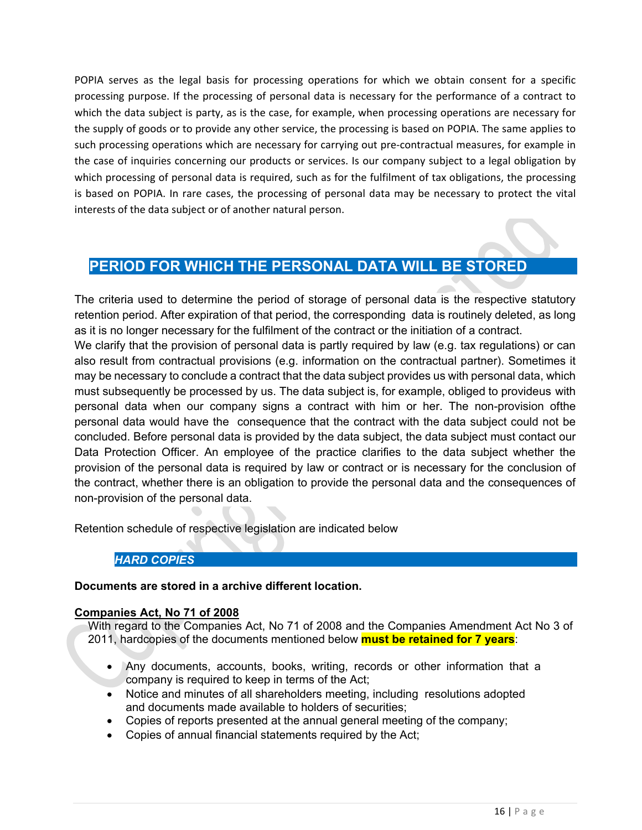POPIA serves as the legal basis for processing operations for which we obtain consent for a specific processing purpose. If the processing of personal data is necessary for the performance of a contract to which the data subject is party, as is the case, for example, when processing operations are necessary for the supply of goods or to provide any other service, the processing is based on POPIA. The same applies to such processing operations which are necessary for carrying out pre-contractual measures, for example in the case of inquiries concerning our products or services. Is our company subject to a legal obligation by which processing of personal data is required, such as for the fulfilment of tax obligations, the processing is based on POPIA. In rare cases, the processing of personal data may be necessary to protect the vital interests of the data subject or of another natural person.

### **18.PERIOD FOR WHICH THE PERSONAL DATA WILL BE STORED**

The criteria used to determine the period of storage of personal data is the respective statutory retention period. After expiration of that period, the corresponding data is routinely deleted, as long as it is no longer necessary for the fulfilment of the contract or the initiation of a contract.

We clarify that the provision of personal data is partly required by law (e.g. tax regulations) or can also result from contractual provisions (e.g. information on the contractual partner). Sometimes it may be necessary to conclude a contract that the data subject provides us with personal data, which must subsequently be processed by us. The data subject is, for example, obliged to provideus with personal data when our company signs a contract with him or her. The non-provision ofthe personal data would have the consequence that the contract with the data subject could not be concluded. Before personal data is provided by the data subject, the data subject must contact our Data Protection Officer. An employee of the practice clarifies to the data subject whether the provision of the personal data is required by law or contract or is necessary for the conclusion of the contract, whether there is an obligation to provide the personal data and the consequences of non-provision of the personal data.

Retention schedule of respective legislation are indicated below

#### *19. HARD COPIES*

#### **Documents are stored in a archive different location.**

#### **Companies Act, No 71 of 2008**

With regard to the Companies Act, No 71 of 2008 and the Companies Amendment Act No 3 of 2011, hardcopies of the documents mentioned below **must be retained for 7 years**:

- Any documents, accounts, books, writing, records or other information that a company is required to keep in terms of the Act;
- Notice and minutes of all shareholders meeting, including resolutions adopted and documents made available to holders of securities;
- Copies of reports presented at the annual general meeting of the company;
- Copies of annual financial statements required by the Act;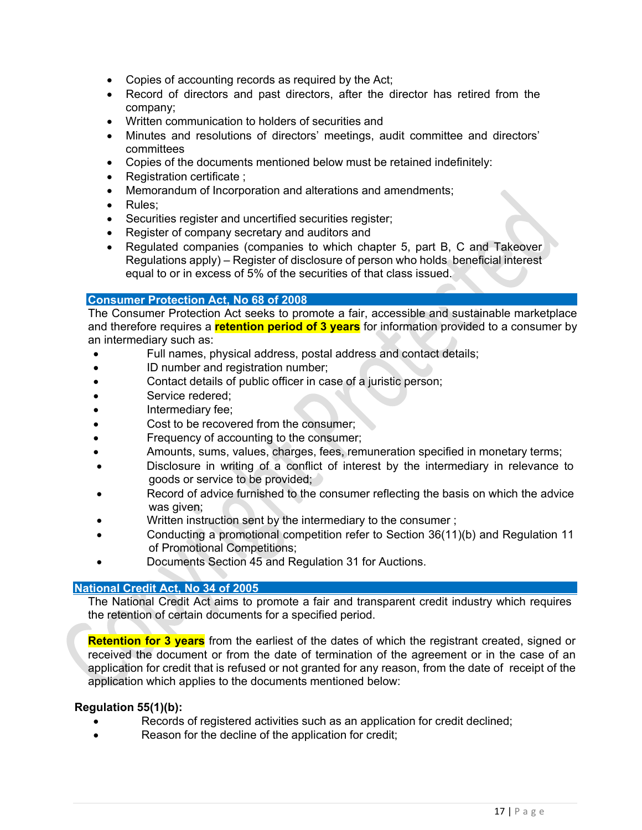- Copies of accounting records as required by the Act;
- Record of directors and past directors, after the director has retired from the company;
- Written communication to holders of securities and
- Minutes and resolutions of directors' meetings, audit committee and directors' committees
- Copies of the documents mentioned below must be retained indefinitely:
- Registration certificate ;
- Memorandum of Incorporation and alterations and amendments;
- Rules:
- Securities register and uncertified securities register;
- Register of company secretary and auditors and
- Regulated companies (companies to which chapter 5, part B, C and Takeover Regulations apply) – Register of disclosure of person who holds beneficial interest equal to or in excess of 5% of the securities of that class issued.

#### **Consumer Protection Act, No 68 of 2008**

The Consumer Protection Act seeks to promote a fair, accessible and sustainable marketplace and therefore requires a **retention period of 3 years** for information provided to a consumer by an intermediary such as:

- Full names, physical address, postal address and contact details;
- ID number and registration number;
- Contact details of public officer in case of a juristic person;
- Service redered;
- Intermediary fee;
- Cost to be recovered from the consumer;
- Frequency of accounting to the consumer;
- Amounts, sums, values, charges, fees, remuneration specified in monetary terms;
- Disclosure in writing of a conflict of interest by the intermediary in relevance to goods or service to be provided;
- Record of advice furnished to the consumer reflecting the basis on which the advice was given;
- Written instruction sent by the intermediary to the consumer ;
- Conducting a promotional competition refer to Section 36(11)(b) and Regulation 11 of Promotional Competitions;
- Documents Section 45 and Regulation 31 for Auctions.

#### **National Credit Act, No 34 of 2005**

The National Credit Act aims to promote a fair and transparent credit industry which requires the retention of certain documents for a specified period.

**Retention for 3 years** from the earliest of the dates of which the registrant created, signed or received the document or from the date of termination of the agreement or in the case of an application for credit that is refused or not granted for any reason, from the date of receipt of the application which applies to the documents mentioned below:

#### **Regulation 55(1)(b):**

- Records of registered activities such as an application for credit declined;
- Reason for the decline of the application for credit;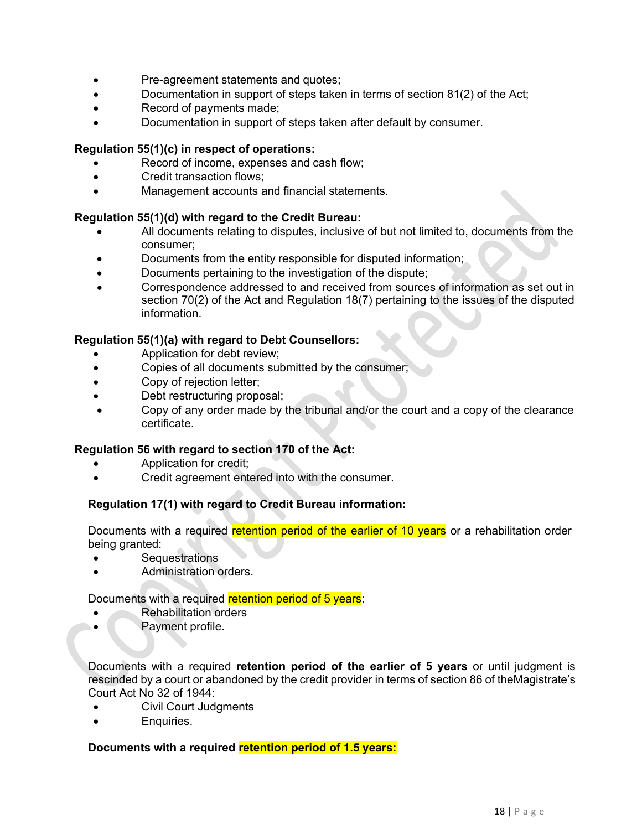- Pre-agreement statements and quotes;
- Documentation in support of steps taken in terms of section 81(2) of the Act;
- Record of payments made;
- Documentation in support of steps taken after default by consumer.

#### **Regulation 55(1)(c) in respect of operations:**

- Record of income, expenses and cash flow;
- Credit transaction flows;
- Management accounts and financial statements.

#### **Regulation 55(1)(d) with regard to the Credit Bureau:**

- All documents relating to disputes, inclusive of but not limited to, documents from the consumer;
- Documents from the entity responsible for disputed information;
- Documents pertaining to the investigation of the dispute;
- Correspondence addressed to and received from sources of information as set out in section 70(2) of the Act and Regulation 18(7) pertaining to the issues of the disputed information.

#### **Regulation 55(1)(a) with regard to Debt Counsellors:**

- Application for debt review:
- Copies of all documents submitted by the consumer;
- Copy of rejection letter;
- Debt restructuring proposal;
- Copy of any order made by the tribunal and/or the court and a copy of the clearance certificate.

#### **Regulation 56 with regard to section 170 of the Act:**

- Application for credit;
- Credit agreement entered into with the consumer.

#### **Regulation 17(1) with regard to Credit Bureau information:**

Documents with a required retention period of the earlier of 10 years or a rehabilitation order being granted:

- **Sequestrations**
- Administration orders.

Documents with a required retention period of 5 years:

- Rehabilitation orders
- **Payment profile.**

Documents with a required **retention period of the earlier of 5 years** or until judgment is rescinded by a court or abandoned by the credit provider in terms of section 86 of theMagistrate's Court Act No 32 of 1944:

- Civil Court Judgments
- Enquiries.

#### **Documents with a required retention period of 1.5 years:**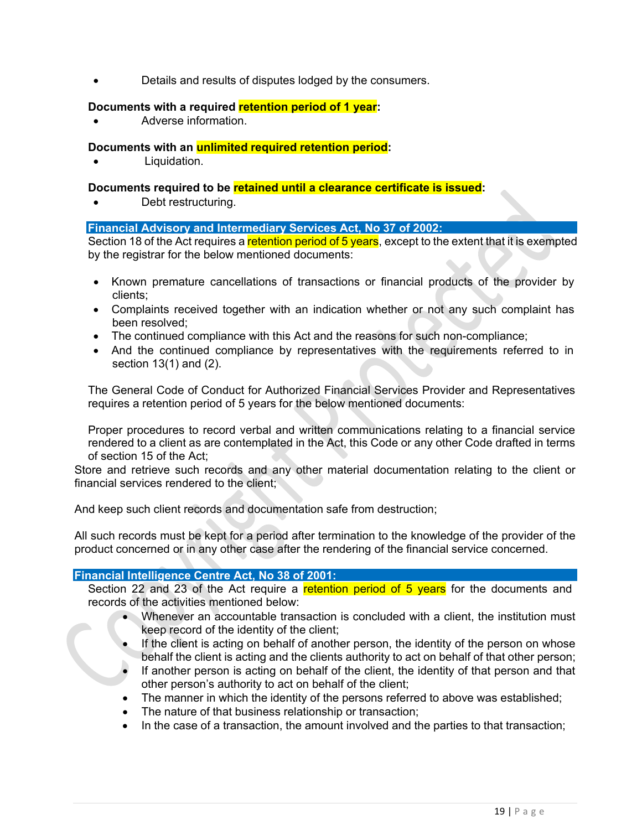• Details and results of disputes lodged by the consumers.

#### **Documents with a required retention period of 1 year:**

• Adverse information.

#### **Documents with an unlimited required retention period:**

Liquidation.

#### **Documents required to be retained until a clearance certificate is issued:**

Debt restructuring.

#### **Financial Advisory and Intermediary Services Act, No 37 of 2002:**

Section 18 of the Act requires a retention period of 5 years, except to the extent that it is exempted by the registrar for the below mentioned documents:

- Known premature cancellations of transactions or financial products of the provider by clients;
- Complaints received together with an indication whether or not any such complaint has been resolved;
- The continued compliance with this Act and the reasons for such non-compliance;
- And the continued compliance by representatives with the requirements referred to in section 13(1) and (2).

The General Code of Conduct for Authorized Financial Services Provider and Representatives requires a retention period of 5 years for the below mentioned documents:

Proper procedures to record verbal and written communications relating to a financial service rendered to a client as are contemplated in the Act, this Code or any other Code drafted in terms of section 15 of the Act;

Store and retrieve such records and any other material documentation relating to the client or financial services rendered to the client;

And keep such client records and documentation safe from destruction;

All such records must be kept for a period after termination to the knowledge of the provider of the product concerned or in any other case after the rendering of the financial service concerned.

#### **Financial Intelligence Centre Act, No 38 of 2001:**

Section 22 and 23 of the Act require a retention period of 5 years for the documents and records of the activities mentioned below:

- Whenever an accountable transaction is concluded with a client, the institution must keep record of the identity of the client;
- If the client is acting on behalf of another person, the identity of the person on whose behalf the client is acting and the clients authority to act on behalf of that other person;
- If another person is acting on behalf of the client, the identity of that person and that other person's authority to act on behalf of the client;
- The manner in which the identity of the persons referred to above was established;
- The nature of that business relationship or transaction;
- In the case of a transaction, the amount involved and the parties to that transaction;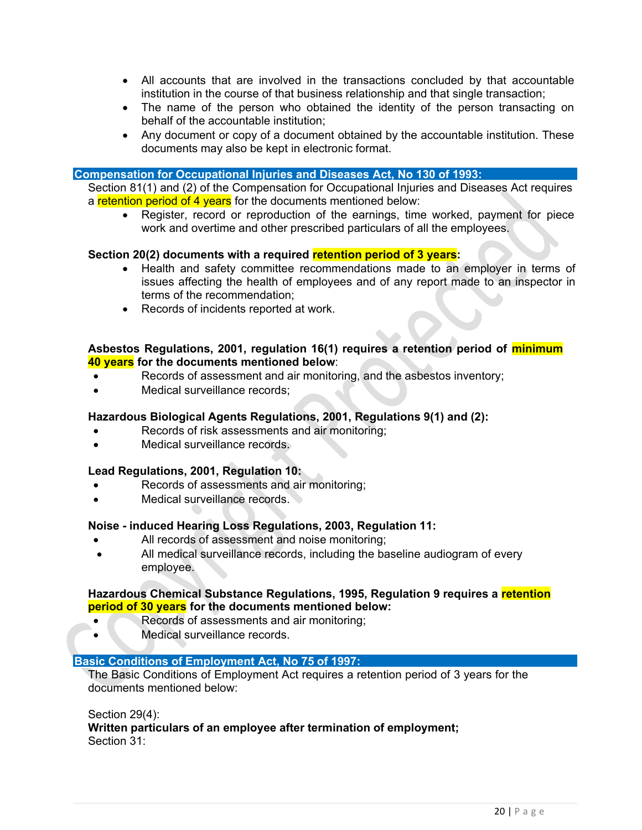- All accounts that are involved in the transactions concluded by that accountable institution in the course of that business relationship and that single transaction;
- The name of the person who obtained the identity of the person transacting on behalf of the accountable institution;
- Any document or copy of a document obtained by the accountable institution. These documents may also be kept in electronic format.

#### **Compensation for Occupational Injuries and Diseases Act, No 130 of 1993:**

Section 81(1) and (2) of the Compensation for Occupational Injuries and Diseases Act requires a retention period of 4 years for the documents mentioned below:

• Register, record or reproduction of the earnings, time worked, payment for piece work and overtime and other prescribed particulars of all the employees.

#### **Section 20(2) documents with a required retention period of 3 years:**

- Health and safety committee recommendations made to an employer in terms of issues affecting the health of employees and of any report made to an inspector in terms of the recommendation;
- Records of incidents reported at work.

#### **Asbestos Regulations, 2001, regulation 16(1) requires a retention period of minimum 40 years for the documents mentioned below**:

- Records of assessment and air monitoring, and the asbestos inventory;
- Medical surveillance records:

#### **Hazardous Biological Agents Regulations, 2001, Regulations 9(1) and (2):**

- Records of risk assessments and air monitoring;
- Medical surveillance records.

#### **Lead Regulations, 2001, Regulation 10:**

- Records of assessments and air monitoring;
- Medical surveillance records.

#### **Noise - induced Hearing Loss Regulations, 2003, Regulation 11:**

- All records of assessment and noise monitoring;
- All medical surveillance records, including the baseline audiogram of every employee.

#### **Hazardous Chemical Substance Regulations, 1995, Regulation 9 requires a retention period of 30 years for the documents mentioned below:**

- Records of assessments and air monitoring;
- Medical surveillance records.

#### **Basic Conditions of Employment Act, No 75 of 1997:**

The Basic Conditions of Employment Act requires a retention period of 3 years for the documents mentioned below:

Section 29(4):

**Written particulars of an employee after termination of employment;** Section 31: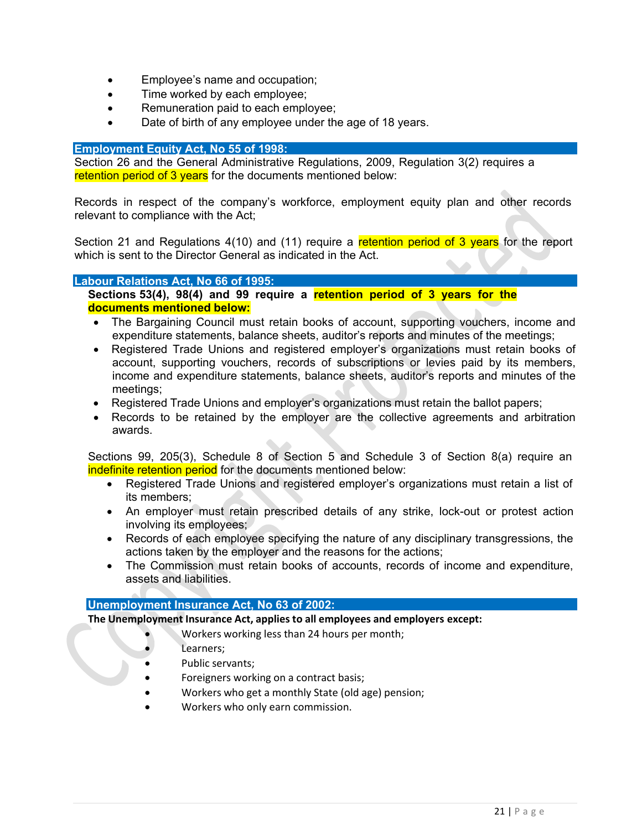- Employee's name and occupation;
- Time worked by each employee;
- Remuneration paid to each employee;
- Date of birth of any employee under the age of 18 years.

#### **Employment Equity Act, No 55 of 1998:**

Section 26 and the General Administrative Regulations, 2009, Regulation 3(2) requires a retention period of 3 years for the documents mentioned below:

Records in respect of the company's workforce, employment equity plan and other records relevant to compliance with the Act;

Section 21 and Regulations 4(10) and (11) require a retention period of 3 years for the report which is sent to the Director General as indicated in the Act.

#### **Labour Relations Act, No 66 of 1995:**

**Sections 53(4), 98(4) and 99 require a retention period of 3 years for the documents mentioned below:**

- The Bargaining Council must retain books of account, supporting vouchers, income and expenditure statements, balance sheets, auditor's reports and minutes of the meetings;
- Registered Trade Unions and registered employer's organizations must retain books of account, supporting vouchers, records of subscriptions or levies paid by its members, income and expenditure statements, balance sheets, auditor's reports and minutes of the meetings;
- Registered Trade Unions and employer's organizations must retain the ballot papers;
- Records to be retained by the employer are the collective agreements and arbitration awards.

Sections 99, 205(3), Schedule 8 of Section 5 and Schedule 3 of Section 8(a) require an indefinite retention period for the documents mentioned below:

- Registered Trade Unions and registered employer's organizations must retain a list of its members;
- An employer must retain prescribed details of any strike, lock-out or protest action involving its employees;
- Records of each employee specifying the nature of any disciplinary transgressions, the actions taken by the employer and the reasons for the actions;
- The Commission must retain books of accounts, records of income and expenditure, assets and liabilities.

#### **Unemployment Insurance Act, No 63 of 2002:**

**The Unemployment Insurance Act, applies to all employees and employers except:**

- Workers working less than 24 hours per month;
- Learners:
- Public servants;
- Foreigners working on a contract basis;
- Workers who get a monthly State (old age) pension;
- Workers who only earn commission.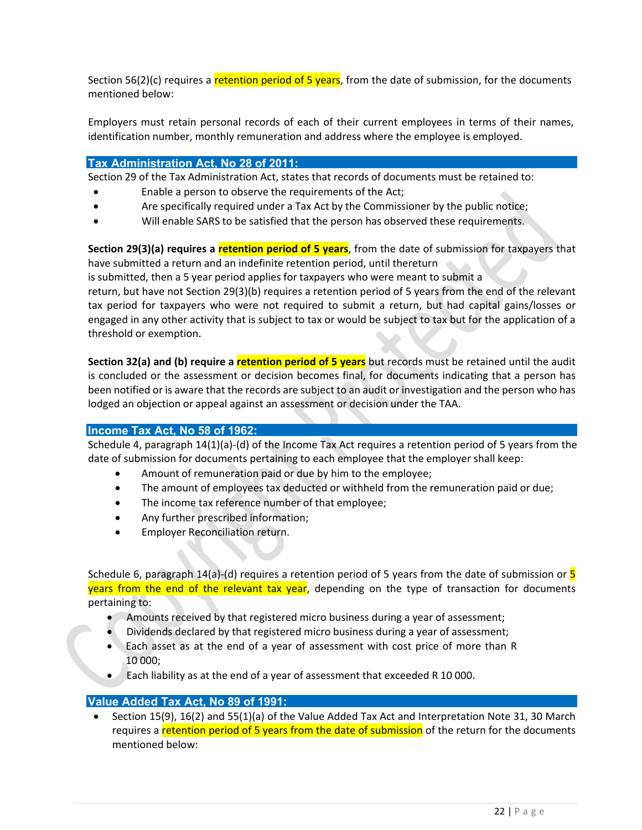Section 56(2)(c) requires a **retention period of 5 years**, from the date of submission, for the documents mentioned below:

Employers must retain personal records of each of their current employees in terms of their names, identification number, monthly remuneration and address where the employee is employed.

#### **Tax Administration Act, No 28 of 2011:**

Section 29 of the Tax Administration Act, states that records of documents must be retained to:

- Enable a person to observe the requirements of the Act;
- Are specifically required under a Tax Act by the Commissioner by the public notice;
- Will enable SARS to be satisfied that the person has observed these requirements.

**Section 29(3)(a) requires a retention period of 5 years**, from the date of submission for taxpayers that have submitted a return and an indefinite retention period, until thereturn

is submitted, then a 5 year period applies for taxpayers who were meant to submit a

return, but have not Section 29(3)(b) requires a retention period of 5 years from the end of the relevant tax period for taxpayers who were not required to submit a return, but had capital gains/losses or engaged in any other activity that is subject to tax or would be subject to tax but for the application of a threshold or exemption.

**Section 32(a) and (b) require a retention period of 5 years** but records must be retained until the audit is concluded or the assessment or decision becomes final, for documents indicating that a person has been notified or is aware that the records are subject to an audit or investigation and the person who has lodged an objection or appeal against an assessment or decision under the TAA.

#### **Income Tax Act, No 58 of 1962:**

Schedule 4, paragraph 14(1)(a)-(d) of the Income Tax Act requires a retention period of 5 years from the date of submission for documents pertaining to each employee that the employer shall keep:

- Amount of remuneration paid or due by him to the employee;
- The amount of employees tax deducted or withheld from the remuneration paid or due;
- The income tax reference number of that employee;
- Any further prescribed information;
- Employer Reconciliation return.

Schedule 6, paragraph  $14(a)$ -(d) requires a retention period of 5 years from the date of submission or  $\overline{5}$ years from the end of the relevant tax year, depending on the type of transaction for documents pertaining to:

- Amounts received by that registered micro business during a year of assessment;
- Dividends declared by that registered micro business during a year of assessment;
- Each asset as at the end of a year of assessment with cost price of more than R 10 000;
- Each liability as at the end of a year of assessment that exceeded R 10 000.

#### **Value Added Tax Act, No 89 of 1991:**

• Section 15(9), 16(2) and 55(1)(a) of the Value Added Tax Act and Interpretation Note 31, 30 March requires a retention period of 5 years from the date of submission of the return for the documents mentioned below: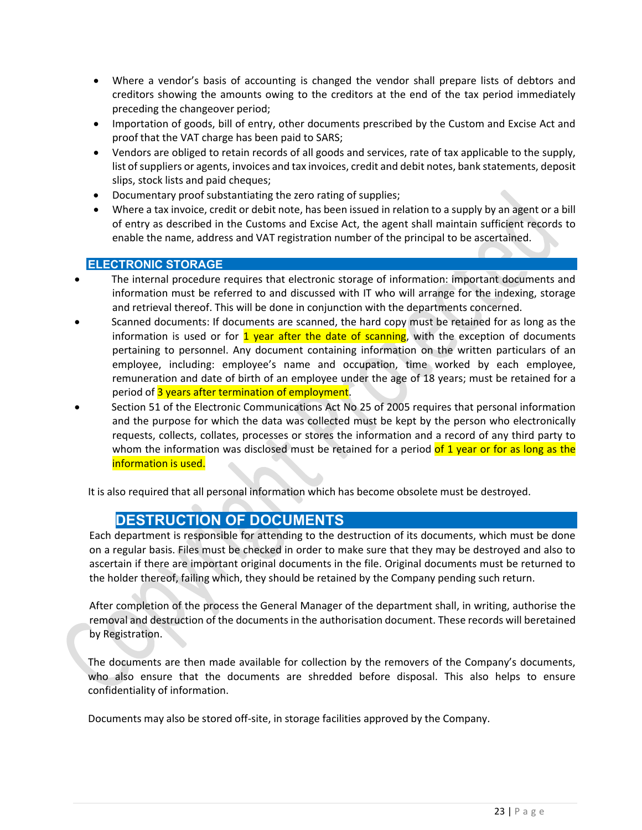- Where a vendor's basis of accounting is changed the vendor shall prepare lists of debtors and creditors showing the amounts owing to the creditors at the end of the tax period immediately preceding the changeover period;
- Importation of goods, bill of entry, other documents prescribed by the Custom and Excise Act and proof that the VAT charge has been paid to SARS;
- Vendors are obliged to retain records of all goods and services, rate of tax applicable to the supply, list of suppliers or agents, invoices and tax invoices, credit and debit notes, bank statements, deposit slips, stock lists and paid cheques;
- Documentary proof substantiating the zero rating of supplies;
- Where a tax invoice, credit or debit note, has been issued in relation to a supply by an agent or a bill of entry as described in the Customs and Excise Act, the agent shall maintain sufficient records to enable the name, address and VAT registration number of the principal to be ascertained.

#### **ELECTRONIC STORAGE**

- The internal procedure requires that electronic storage of information: important documents and information must be referred to and discussed with IT who will arrange for the indexing, storage and retrieval thereof. This will be done in conjunction with the departments concerned.
- Scanned documents: If documents are scanned, the hard copy must be retained for as long as the information is used or for  $\frac{1}{1}$  year after the date of scanning, with the exception of documents pertaining to personnel. Any document containing information on the written particulars of an employee, including: employee's name and occupation, time worked by each employee, remuneration and date of birth of an employee under the age of 18 years; must be retained for a period of 3 years after termination of employment.
- Section 51 of the Electronic Communications Act No 25 of 2005 requires that personal information and the purpose for which the data was collected must be kept by the person who electronically requests, collects, collates, processes or stores the information and a record of any third party to whom the information was disclosed must be retained for a period of 1 year or for as long as the information is used.

It is also required that all personal information which has become obsolete must be destroyed.

### **20. DESTRUCTION OF DOCUMENTS**

Each department is responsible for attending to the destruction of its documents, which must be done on a regular basis. Files must be checked in order to make sure that they may be destroyed and also to ascertain if there are important original documents in the file. Original documents must be returned to the holder thereof, failing which, they should be retained by the Company pending such return.

After completion of the process the General Manager of the department shall, in writing, authorise the removal and destruction of the documents in the authorisation document. These records will beretained by Registration.

The documents are then made available for collection by the removers of the Company's documents, who also ensure that the documents are shredded before disposal. This also helps to ensure confidentiality of information.

Documents may also be stored off-site, in storage facilities approved by the Company.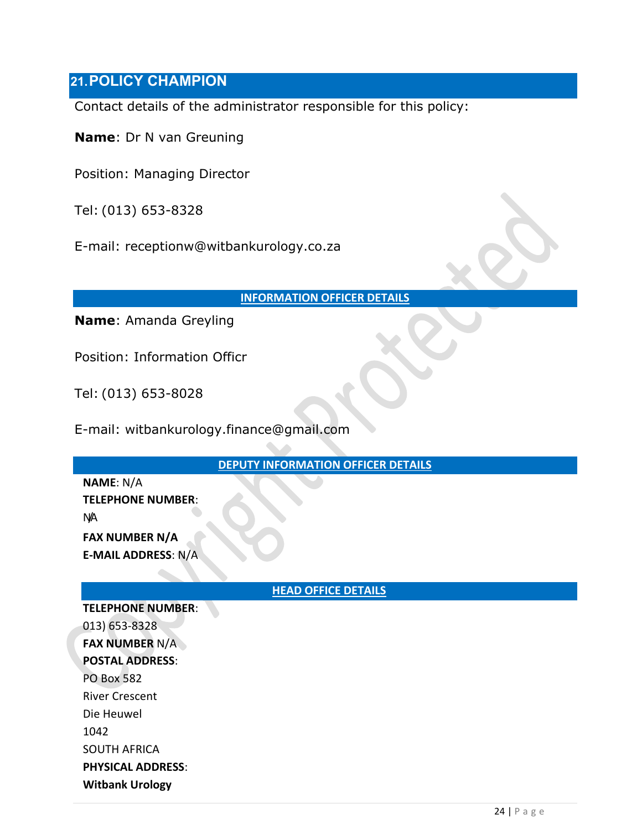### **21.POLICY CHAMPION**

Contact details of the administrator responsible for this policy:

**Name**: Dr N van Greuning

Position: Managing Director

Tel: (013) 653-8328

E-mail: receptionw@witbankurology.co.za

#### **INFORMATION OFFICER DETAILS**

**Name**: Amanda Greyling

Position: Information Officr

Tel: (013) 653-8028

E-mail: witbankurology.finance@gmail.com

**DEPUTY INFORMATION OFFICER DETAILS**

**NAME**: N/A **TELEPHONE NUMBER**: N/A **FAX NUMBER N/A**

**E-MAIL ADDRESS**: N/A

#### **HEAD OFFICE DETAILS**

**TELEPHONE NUMBER**: 013) 653-8328 **FAX NUMBER** N/A **POSTAL ADDRESS**: PO Box 582 River Crescent Die Heuwel 1042 SOUTH AFRICA **PHYSICAL ADDRESS**: **Witbank Urology**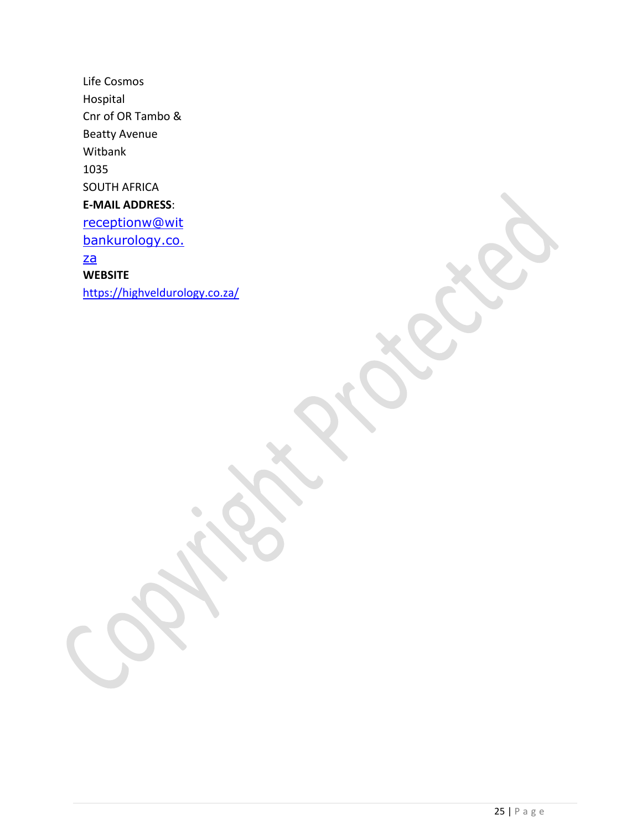Life Cosmos Hospital Cnr of OR Tambo & Beatty Avenue Witbank 1035 SOUTH AFRICA **E-MAIL ADDRESS**: [receptionw@wit](mailto:receptionw@witbankurology.co.za) [bankurology.co.](mailto:receptionw@witbankurology.co.za) [za](mailto:receptionw@witbankurology.co.za) **WEBSITE** <https://highveldurology.co.za/>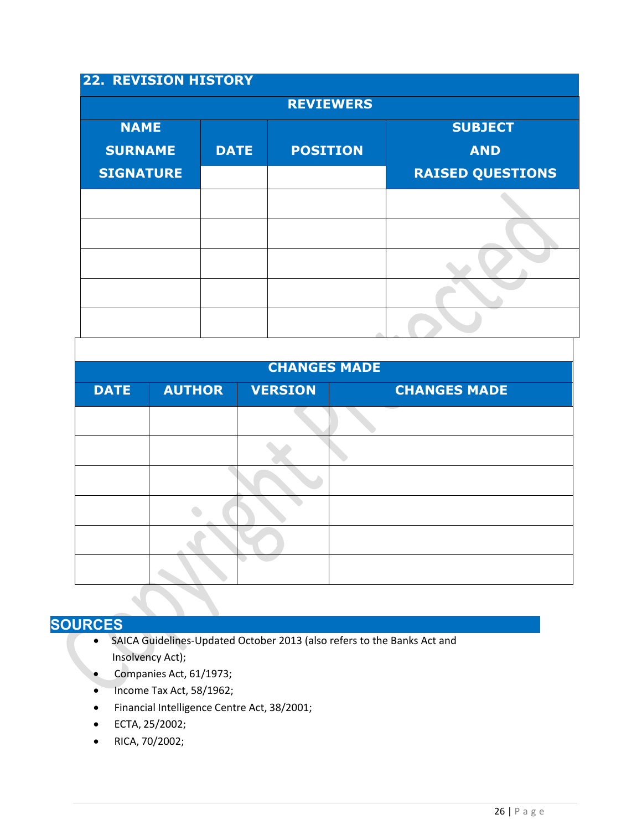### **22. REVISION HISTORY**

| <b>REVIEWERS</b> |             |                 |                         |  |  |  |  |
|------------------|-------------|-----------------|-------------------------|--|--|--|--|
| <b>NAME</b>      |             |                 | <b>SUBJECT</b>          |  |  |  |  |
| <b>SURNAME</b>   | <b>DATE</b> | <b>POSITION</b> | <b>AND</b>              |  |  |  |  |
| <b>SIGNATURE</b> |             |                 | <b>RAISED QUESTIONS</b> |  |  |  |  |
|                  |             |                 |                         |  |  |  |  |
|                  |             |                 |                         |  |  |  |  |
|                  |             |                 |                         |  |  |  |  |
|                  |             |                 |                         |  |  |  |  |
|                  |             |                 |                         |  |  |  |  |

#### **CHANGES MADE**

| <b>DATE</b> | <b>AUTHOR</b> | <b>VERSION</b> | <b>CHANGES MADE</b> |
|-------------|---------------|----------------|---------------------|
|             |               |                |                     |
|             |               |                |                     |
|             |               |                |                     |
|             |               |                |                     |
|             |               |                |                     |
|             |               |                |                     |

# **SOURCES**

- SAICA Guidelines-Updated October 2013 (also refers to the Banks Act and Insolvency Act);
- Companies Act, 61/1973;
- Income Tax Act, 58/1962;
- Financial Intelligence Centre Act, 38/2001;
- ECTA, 25/2002;
- RICA, 70/2002;